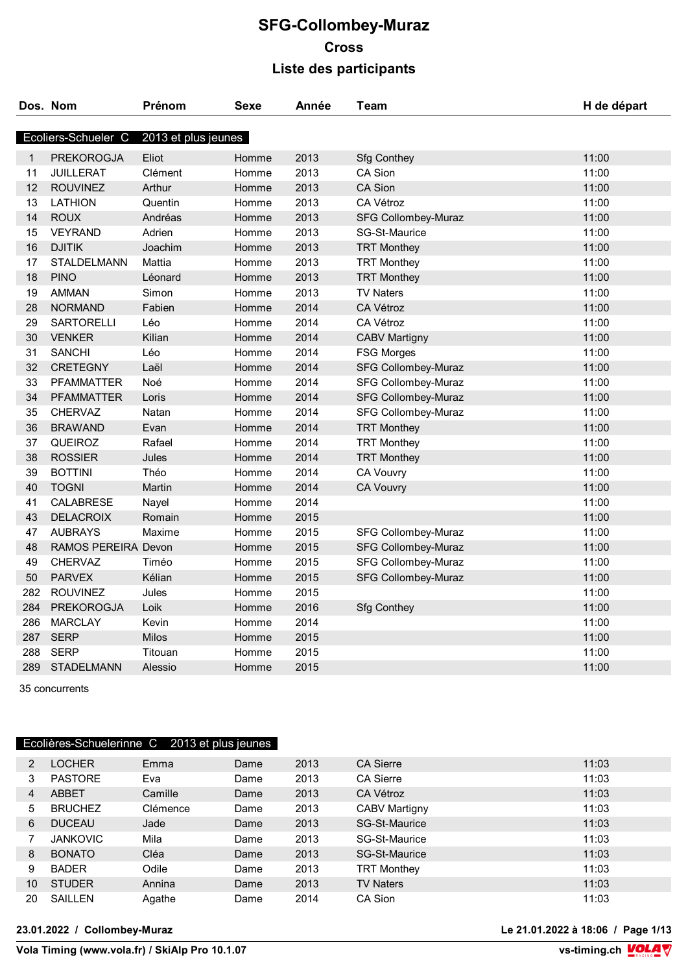|     | Dos. Nom            | Prénom              | Sexe  | Année | Team                       | H de départ |
|-----|---------------------|---------------------|-------|-------|----------------------------|-------------|
|     | Ecoliers-Schueler C | 2013 et plus jeunes |       |       |                            |             |
| 1   | <b>PREKOROGJA</b>   | Eliot               | Homme | 2013  | <b>Sfg Conthey</b>         | 11:00       |
| 11  | <b>JUILLERAT</b>    | Clément             | Homme | 2013  | <b>CA Sion</b>             | 11:00       |
| 12  | <b>ROUVINEZ</b>     | Arthur              | Homme | 2013  | <b>CA Sion</b>             | 11:00       |
| 13  | <b>LATHION</b>      | Quentin             | Homme | 2013  | <b>CA Vétroz</b>           | 11:00       |
| 14  | <b>ROUX</b>         | Andréas             | Homme | 2013  | <b>SFG Collombey-Muraz</b> | 11:00       |
| 15  | <b>VEYRAND</b>      | Adrien              | Homme | 2013  | <b>SG-St-Maurice</b>       | 11:00       |
| 16  | <b>DJITIK</b>       | Joachim             | Homme | 2013  | <b>TRT Monthey</b>         | 11:00       |
| 17  | <b>STALDELMANN</b>  | Mattia              | Homme | 2013  | <b>TRT Monthey</b>         | 11:00       |
| 18  | <b>PINO</b>         | Léonard             | Homme | 2013  | <b>TRT Monthey</b>         | 11:00       |
| 19  | AMMAN               | Simon               | Homme | 2013  | <b>TV Naters</b>           | 11:00       |
| 28  | <b>NORMAND</b>      | Fabien              | Homme | 2014  | <b>CA Vétroz</b>           | 11:00       |
| 29  | <b>SARTORELLI</b>   | Léo                 | Homme | 2014  | <b>CA Vétroz</b>           | 11:00       |
| 30  | <b>VENKER</b>       | Kilian              | Homme | 2014  | <b>CABV Martigny</b>       | 11:00       |
| 31  | <b>SANCHI</b>       | Léo                 | Homme | 2014  | <b>FSG Morges</b>          | 11:00       |
| 32  | <b>CRETEGNY</b>     | Laël                | Homme | 2014  | <b>SFG Collombey-Muraz</b> | 11:00       |
| 33  | <b>PFAMMATTER</b>   | Noé                 | Homme | 2014  | <b>SFG Collombey-Muraz</b> | 11:00       |
| 34  | <b>PFAMMATTER</b>   | Loris               | Homme | 2014  | <b>SFG Collombey-Muraz</b> | 11:00       |
| 35  | <b>CHERVAZ</b>      | Natan               | Homme | 2014  | <b>SFG Collombey-Muraz</b> | 11:00       |
| 36  | <b>BRAWAND</b>      | Evan                | Homme | 2014  | <b>TRT Monthey</b>         | 11:00       |
| 37  | QUEIROZ             | Rafael              | Homme | 2014  | <b>TRT Monthey</b>         | 11:00       |
| 38  | <b>ROSSIER</b>      | Jules               | Homme | 2014  | <b>TRT Monthey</b>         | 11:00       |
| 39  | <b>BOTTINI</b>      | Théo                | Homme | 2014  | <b>CA Vouvry</b>           | 11:00       |
| 40  | <b>TOGNI</b>        | Martin              | Homme | 2014  | <b>CA Vouvry</b>           | 11:00       |
| 41  | <b>CALABRESE</b>    | Nayel               | Homme | 2014  |                            | 11:00       |
| 43  | <b>DELACROIX</b>    | Romain              | Homme | 2015  |                            | 11:00       |
| 47  | <b>AUBRAYS</b>      | Maxime              | Homme | 2015  | <b>SFG Collombey-Muraz</b> | 11:00       |
| 48  | RAMOS PEREIRA Devon |                     | Homme | 2015  | <b>SFG Collombey-Muraz</b> | 11:00       |
| 49  | <b>CHERVAZ</b>      | Timéo               | Homme | 2015  | <b>SFG Collombey-Muraz</b> | 11:00       |
| 50  | <b>PARVEX</b>       | Kélian              | Homme | 2015  | SFG Collombey-Muraz        | 11:00       |
| 282 | <b>ROUVINEZ</b>     | Jules               | Homme | 2015  |                            | 11:00       |
| 284 | <b>PREKOROGJA</b>   | Loik                | Homme | 2016  | <b>Sfg Conthey</b>         | 11:00       |
| 286 | <b>MARCLAY</b>      | Kevin               | Homme | 2014  |                            | 11:00       |
| 287 | <b>SERP</b>         | Milos               | Homme | 2015  |                            | 11:00       |
| 288 | <b>SERP</b>         | Titouan             | Homme | 2015  |                            | 11:00       |
| 289 | <b>STADELMANN</b>   | Alessio             | Homme | 2015  |                            | 11:00       |

35 concurrents

# Ecolières-Schuelerinne C 2013 et plus jeunes

| $\overline{2}$ | <b>LOCHER</b>   | Emma     | Dame | 2013 | <b>CA Sierre</b>     | 11:03 |
|----------------|-----------------|----------|------|------|----------------------|-------|
| 3              | <b>PASTORE</b>  | Eva      | Dame | 2013 | <b>CA Sierre</b>     | 11:03 |
| 4              | <b>ABBET</b>    | Camille  | Dame | 2013 | CA Vétroz            | 11:03 |
| 5              | <b>BRUCHEZ</b>  | Clémence | Dame | 2013 | <b>CABV Martigny</b> | 11:03 |
| 6              | <b>DUCEAU</b>   | Jade     | Dame | 2013 | <b>SG-St-Maurice</b> | 11:03 |
|                | <b>JANKOVIC</b> | Mila     | Dame | 2013 | SG-St-Maurice        | 11:03 |
| 8              | <b>BONATO</b>   | Cléa     | Dame | 2013 | SG-St-Maurice        | 11:03 |
| 9              | <b>BADER</b>    | Odile    | Dame | 2013 | <b>TRT Monthey</b>   | 11:03 |
| 10             | <b>STUDER</b>   | Annina   | Dame | 2013 | <b>TV Naters</b>     | 11:03 |
| 20             | SAILLEN         | Agathe   | Dame | 2014 | CA Sion              | 11:03 |

#### **23.01.2022 / Collombey-Muraz Le 21.01.2022 à 18:06 / Page 1/13**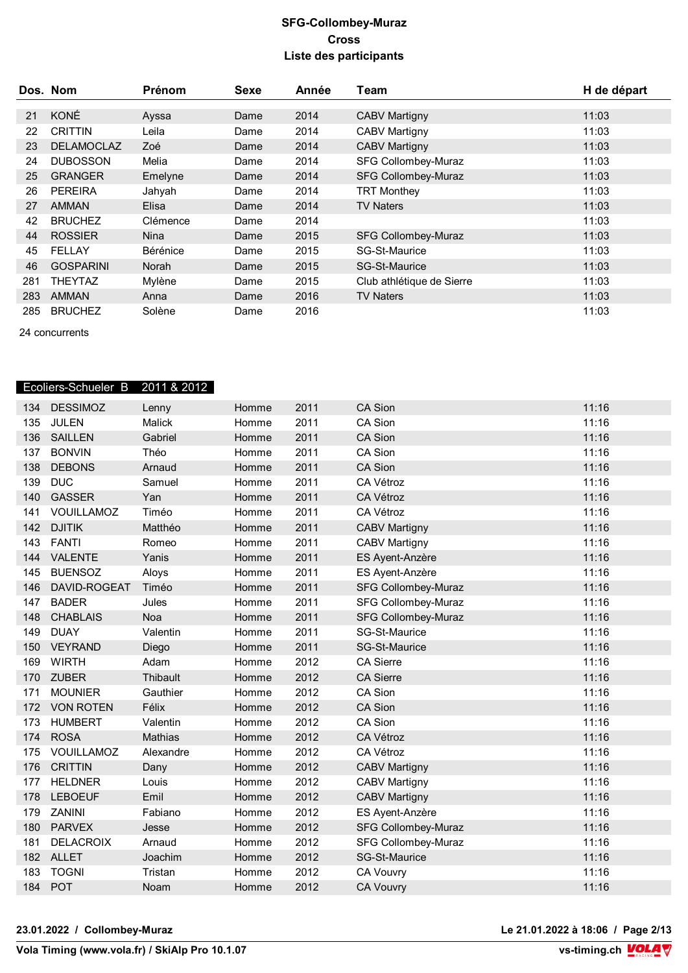|     | Dos. Nom          | Prénom   | Sexe | Année | Team                       | H de départ |
|-----|-------------------|----------|------|-------|----------------------------|-------------|
|     |                   |          |      |       |                            |             |
| 21  | KONÉ              | Ayssa    | Dame | 2014  | <b>CABV Martigny</b>       | 11:03       |
| 22  | <b>CRITTIN</b>    | Leila    | Dame | 2014  | <b>CABV Martigny</b>       | 11:03       |
| 23  | <b>DELAMOCLAZ</b> | Zoé      | Dame | 2014  | <b>CABV Martigny</b>       | 11:03       |
| 24  | <b>DUBOSSON</b>   | Melia    | Dame | 2014  | <b>SFG Collombey-Muraz</b> | 11:03       |
| 25  | <b>GRANGER</b>    | Emelyne  | Dame | 2014  | <b>SFG Collombey-Muraz</b> | 11:03       |
| 26  | <b>PEREIRA</b>    | Jahyah   | Dame | 2014  | <b>TRT Monthey</b>         | 11:03       |
| 27  | <b>AMMAN</b>      | Elisa    | Dame | 2014  | <b>TV Naters</b>           | 11:03       |
| 42  | <b>BRUCHEZ</b>    | Clémence | Dame | 2014  |                            | 11:03       |
| 44  | <b>ROSSIER</b>    | Nina     | Dame | 2015  | <b>SFG Collombey-Muraz</b> | 11:03       |
| 45  | <b>FELLAY</b>     | Bérénice | Dame | 2015  | SG-St-Maurice              | 11:03       |
| 46  | <b>GOSPARINI</b>  | Norah    | Dame | 2015  | <b>SG-St-Maurice</b>       | 11:03       |
| 281 | <b>THEYTAZ</b>    | Mylène   | Dame | 2015  | Club athlétique de Sierre  | 11:03       |
| 283 | <b>AMMAN</b>      | Anna     | Dame | 2016  | <b>TV Naters</b>           | 11:03       |
| 285 | <b>BRUCHEZ</b>    | Solène   | Dame | 2016  |                            | 11:03       |

24 concurrents

|     | Ecoliers-Schueler B | 2011 & 2012 |       |      |                            |       |
|-----|---------------------|-------------|-------|------|----------------------------|-------|
| 134 | <b>DESSIMOZ</b>     | Lenny       | Homme | 2011 | <b>CA Sion</b>             | 11:16 |
| 135 | <b>JULEN</b>        | Malick      | Homme | 2011 | CA Sion                    | 11:16 |
| 136 | <b>SAILLEN</b>      | Gabriel     | Homme | 2011 | CA Sion                    | 11:16 |
| 137 | <b>BONVIN</b>       | Théo        | Homme | 2011 | CA Sion                    | 11:16 |
| 138 | <b>DEBONS</b>       | Arnaud      | Homme | 2011 | <b>CA Sion</b>             | 11:16 |
| 139 | <b>DUC</b>          | Samuel      | Homme | 2011 | CA Vétroz                  | 11:16 |
| 140 | <b>GASSER</b>       | Yan         | Homme | 2011 | CA Vétroz                  | 11:16 |
| 141 | VOUILLAMOZ          | Timéo       | Homme | 2011 | CA Vétroz                  | 11:16 |
| 142 | <b>DJITIK</b>       | Matthéo     | Homme | 2011 | <b>CABV Martigny</b>       | 11:16 |
| 143 | <b>FANTI</b>        | Romeo       | Homme | 2011 | <b>CABV Martigny</b>       | 11:16 |
| 144 | <b>VALENTE</b>      | Yanis       | Homme | 2011 | ES Ayent-Anzère            | 11:16 |
| 145 | <b>BUENSOZ</b>      | Aloys       | Homme | 2011 | ES Ayent-Anzère            | 11:16 |
| 146 | DAVID-ROGEAT        | Timéo       | Homme | 2011 | <b>SFG Collombey-Muraz</b> | 11:16 |
| 147 | <b>BADER</b>        | Jules       | Homme | 2011 | SFG Collombey-Muraz        | 11:16 |
| 148 | <b>CHABLAIS</b>     | Noa         | Homme | 2011 | <b>SFG Collombey-Muraz</b> | 11:16 |
| 149 | <b>DUAY</b>         | Valentin    | Homme | 2011 | SG-St-Maurice              | 11:16 |
| 150 | <b>VEYRAND</b>      | Diego       | Homme | 2011 | <b>SG-St-Maurice</b>       | 11:16 |
| 169 | <b>WIRTH</b>        | Adam        | Homme | 2012 | <b>CA Sierre</b>           | 11:16 |
| 170 | <b>ZUBER</b>        | Thibault    | Homme | 2012 | <b>CA Sierre</b>           | 11:16 |
| 171 | <b>MOUNIER</b>      | Gauthier    | Homme | 2012 | CA Sion                    | 11:16 |
| 172 | <b>VON ROTEN</b>    | Félix       | Homme | 2012 | <b>CA Sion</b>             | 11:16 |
| 173 | <b>HUMBERT</b>      | Valentin    | Homme | 2012 | CA Sion                    | 11:16 |
| 174 | <b>ROSA</b>         | Mathias     | Homme | 2012 | CA Vétroz                  | 11:16 |
| 175 | VOUILLAMOZ          | Alexandre   | Homme | 2012 | CA Vétroz                  | 11:16 |
| 176 | <b>CRITTIN</b>      | Dany        | Homme | 2012 | <b>CABV Martigny</b>       | 11:16 |
| 177 | <b>HELDNER</b>      | Louis       | Homme | 2012 | <b>CABV Martigny</b>       | 11:16 |
| 178 | <b>LEBOEUF</b>      | Emil        | Homme | 2012 | <b>CABV Martigny</b>       | 11:16 |
| 179 | <b>ZANINI</b>       | Fabiano     | Homme | 2012 | ES Ayent-Anzère            | 11:16 |
| 180 | <b>PARVEX</b>       | Jesse       | Homme | 2012 | <b>SFG Collombey-Muraz</b> | 11:16 |
| 181 | <b>DELACROIX</b>    | Arnaud      | Homme | 2012 | SFG Collombey-Muraz        | 11:16 |
| 182 | <b>ALLET</b>        | Joachim     | Homme | 2012 | SG-St-Maurice              | 11:16 |
| 183 | <b>TOGNI</b>        | Tristan     | Homme | 2012 | <b>CA Vouvry</b>           | 11:16 |
| 184 | <b>POT</b>          | Noam        | Homme | 2012 | <b>CA Vouvry</b>           | 11:16 |

**23.01.2022 / Collombey-Muraz Le 21.01.2022 à 18:06 / Page 2/13**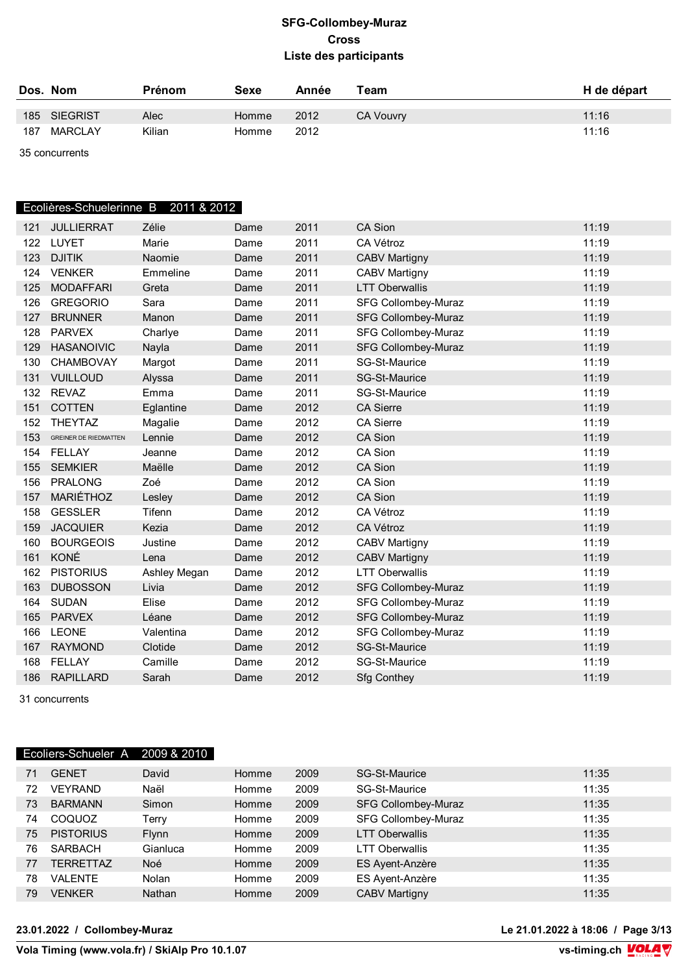|     | Dos. Nom     | <b>Prénom</b> | Sexe  | Année | Team             | H de départ |
|-----|--------------|---------------|-------|-------|------------------|-------------|
|     | 185 SIEGRIST | Alec          | Homme | 2012  | <b>CA Vouvry</b> | 11:16       |
| 187 | MARCLAY      | Kilian        | Homme | 2012  |                  | 11:16       |

35 concurrents

### Ecolières-Schuelerinne B 2011 & 2012

| 121 | <b>JULLIERRAT</b>            | Zélie        | Dame | 2011 | <b>CA Sion</b>             | 11:19 |
|-----|------------------------------|--------------|------|------|----------------------------|-------|
| 122 | LUYET                        | Marie        | Dame | 2011 | CA Vétroz                  | 11:19 |
| 123 | <b>DJITIK</b>                | Naomie       | Dame | 2011 | <b>CABV Martigny</b>       | 11:19 |
| 124 | <b>VENKER</b>                | Emmeline     | Dame | 2011 | <b>CABV Martigny</b>       | 11:19 |
| 125 | <b>MODAFFARI</b>             | Greta        | Dame | 2011 | <b>LTT Oberwallis</b>      | 11:19 |
| 126 | <b>GREGORIO</b>              | Sara         | Dame | 2011 | SFG Collombey-Muraz        | 11:19 |
| 127 | <b>BRUNNER</b>               | Manon        | Dame | 2011 | <b>SFG Collombey-Muraz</b> | 11:19 |
| 128 | <b>PARVEX</b>                | Charlye      | Dame | 2011 | <b>SFG Collombey-Muraz</b> | 11:19 |
| 129 | <b>HASANOIVIC</b>            | Nayla        | Dame | 2011 | <b>SFG Collombey-Muraz</b> | 11:19 |
| 130 | <b>CHAMBOVAY</b>             | Margot       | Dame | 2011 | <b>SG-St-Maurice</b>       | 11:19 |
| 131 | <b>VUILLOUD</b>              | Alyssa       | Dame | 2011 | SG-St-Maurice              | 11:19 |
| 132 | <b>REVAZ</b>                 | Emma         | Dame | 2011 | SG-St-Maurice              | 11:19 |
| 151 | <b>COTTEN</b>                | Eglantine    | Dame | 2012 | <b>CA Sierre</b>           | 11:19 |
| 152 | <b>THEYTAZ</b>               | Magalie      | Dame | 2012 | <b>CA Sierre</b>           | 11:19 |
| 153 | <b>GREINER DE RIEDMATTEN</b> | Lennie       | Dame | 2012 | <b>CA Sion</b>             | 11:19 |
|     | 154 FELLAY                   | Jeanne       | Dame | 2012 | CA Sion                    | 11:19 |
| 155 | <b>SEMKIER</b>               | Maëlle       | Dame | 2012 | <b>CA Sion</b>             | 11:19 |
| 156 | <b>PRALONG</b>               | Zoé          | Dame | 2012 | <b>CA Sion</b>             | 11:19 |
| 157 | MARIÉTHOZ                    | Lesley       | Dame | 2012 | <b>CA Sion</b>             | 11:19 |
| 158 | <b>GESSLER</b>               | Tifenn       | Dame | 2012 | CA Vétroz                  | 11:19 |
| 159 | <b>JACQUIER</b>              | Kezia        | Dame | 2012 | CA Vétroz                  | 11:19 |
| 160 | <b>BOURGEOIS</b>             | Justine      | Dame | 2012 | <b>CABV Martigny</b>       | 11:19 |
| 161 | KONÉ                         | Lena         | Dame | 2012 | <b>CABV Martigny</b>       | 11:19 |
| 162 | <b>PISTORIUS</b>             | Ashley Megan | Dame | 2012 | <b>LTT Oberwallis</b>      | 11:19 |
| 163 | <b>DUBOSSON</b>              | Livia        | Dame | 2012 | <b>SFG Collombey-Muraz</b> | 11:19 |
| 164 | <b>SUDAN</b>                 | Elise        | Dame | 2012 | <b>SFG Collombey-Muraz</b> | 11:19 |
| 165 | <b>PARVEX</b>                | Léane        | Dame | 2012 | <b>SFG Collombey-Muraz</b> | 11:19 |
| 166 | <b>LEONE</b>                 | Valentina    | Dame | 2012 | <b>SFG Collombey-Muraz</b> | 11:19 |
| 167 | <b>RAYMOND</b>               | Clotide      | Dame | 2012 | <b>SG-St-Maurice</b>       | 11:19 |
| 168 | <b>FELLAY</b>                | Camille      | Dame | 2012 | SG-St-Maurice              | 11:19 |
| 186 | <b>RAPILLARD</b>             | Sarah        | Dame | 2012 | <b>Sfg Conthey</b>         | 11:19 |

31 concurrents

### Ecoliers-Schueler A 2009 & 2010

| 71 | <b>GENET</b>     | David         | Homme | 2009 | <b>SG-St-Maurice</b>       | 11:35 |
|----|------------------|---------------|-------|------|----------------------------|-------|
| 72 | <b>VEYRAND</b>   | Naël          | Homme | 2009 | SG-St-Maurice              | 11:35 |
| 73 | <b>BARMANN</b>   | Simon         | Homme | 2009 | <b>SFG Collombey-Muraz</b> | 11:35 |
| 74 | COQUOZ           | Terry         | Homme | 2009 | SFG Collombey-Muraz        | 11:35 |
| 75 | <b>PISTORIUS</b> | <b>Flynn</b>  | Homme | 2009 | <b>LTT Oberwallis</b>      | 11:35 |
| 76 | <b>SARBACH</b>   | Gianluca      | Homme | 2009 | LTT Oberwallis             | 11:35 |
| 77 | <b>TERRETTAZ</b> | Noé           | Homme | 2009 | ES Ayent-Anzère            | 11:35 |
| 78 | VALENTE          | Nolan         | Homme | 2009 | ES Ayent-Anzère            | 11:35 |
| 79 | <b>VENKER</b>    | <b>Nathan</b> | Homme | 2009 | <b>CABV Martigny</b>       | 11:35 |

**23.01.2022 / Collombey-Muraz Le 21.01.2022 à 18:06 / Page 3/13**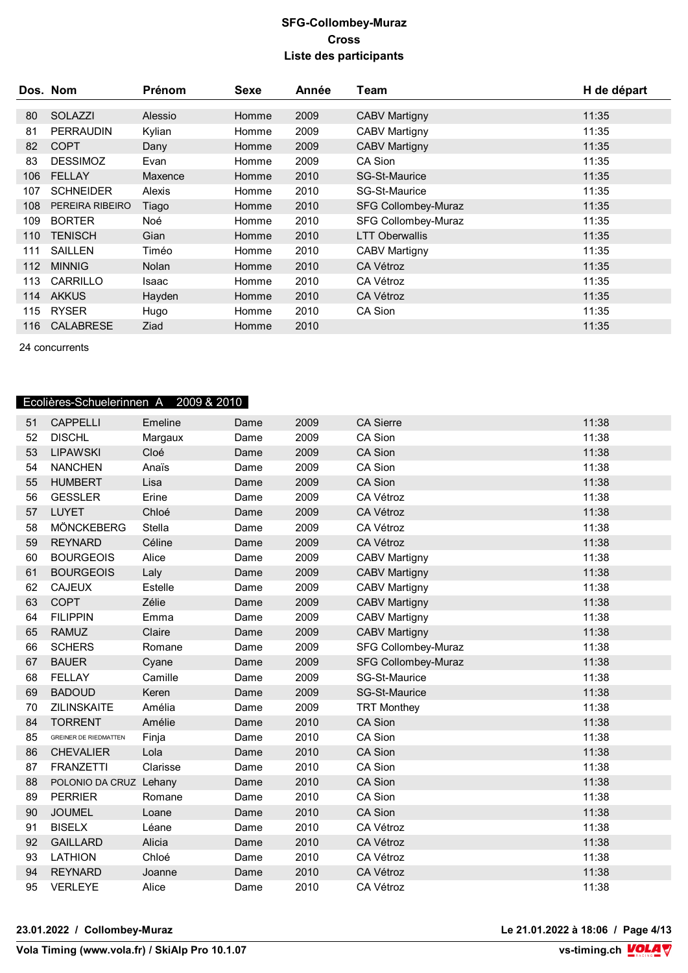|     | Dos. Nom         | Prénom       | Sexe  | Année | Team                       | H de départ |
|-----|------------------|--------------|-------|-------|----------------------------|-------------|
|     |                  |              |       |       |                            |             |
| 80  | <b>SOLAZZI</b>   | Alessio      | Homme | 2009  | <b>CABV Martigny</b>       | 11:35       |
| 81  | <b>PERRAUDIN</b> | Kylian       | Homme | 2009  | <b>CABV Martigny</b>       | 11:35       |
| 82  | <b>COPT</b>      | Dany         | Homme | 2009  | <b>CABV Martigny</b>       | 11:35       |
| 83  | <b>DESSIMOZ</b>  | Evan         | Homme | 2009  | CA Sion                    | 11:35       |
| 106 | <b>FELLAY</b>    | Maxence      | Homme | 2010  | <b>SG-St-Maurice</b>       | 11:35       |
| 107 | <b>SCHNEIDER</b> | Alexis       | Homme | 2010  | <b>SG-St-Maurice</b>       | 11:35       |
| 108 | PEREIRA RIBEIRO  | Tiago        | Homme | 2010  | <b>SFG Collombey-Muraz</b> | 11:35       |
| 109 | <b>BORTER</b>    | Noé          | Homme | 2010  | SFG Collombey-Muraz        | 11:35       |
| 110 | <b>TENISCH</b>   | Gian         | Homme | 2010  | <b>LTT Oberwallis</b>      | 11:35       |
| 111 | <b>SAILLEN</b>   | Timéo        | Homme | 2010  | <b>CABV Martigny</b>       | 11:35       |
| 112 | <b>MINNIG</b>    | <b>Nolan</b> | Homme | 2010  | <b>CA Vétroz</b>           | 11:35       |
| 113 | CARRILLO         | Isaac        | Homme | 2010  | CA Vétroz                  | 11:35       |
| 114 | <b>AKKUS</b>     | Hayden       | Homme | 2010  | CA Vétroz                  | 11:35       |
| 115 | <b>RYSER</b>     | Hugo         | Homme | 2010  | CA Sion                    | 11:35       |
| 116 | <b>CALABRESE</b> | Ziad         | Homme | 2010  |                            | 11:35       |

24 concurrents

# Ecolières-Schuelerinnen A 2009 & 2010

| 51 | <b>CAPPELLI</b>              | Emeline  | Dame | 2009 | <b>CA Sierre</b>           | 11:38 |
|----|------------------------------|----------|------|------|----------------------------|-------|
| 52 | <b>DISCHL</b>                | Margaux  | Dame | 2009 | CA Sion                    | 11:38 |
| 53 | <b>LIPAWSKI</b>              | Cloé     | Dame | 2009 | <b>CA Sion</b>             | 11:38 |
| 54 | <b>NANCHEN</b>               | Anaïs    | Dame | 2009 | CA Sion                    | 11:38 |
| 55 | <b>HUMBERT</b>               | Lisa     | Dame | 2009 | <b>CA Sion</b>             | 11:38 |
| 56 | <b>GESSLER</b>               | Erine    | Dame | 2009 | <b>CA Vétroz</b>           | 11:38 |
| 57 | <b>LUYET</b>                 | Chloé    | Dame | 2009 | CA Vétroz                  | 11:38 |
| 58 | MÖNCKEBERG                   | Stella   | Dame | 2009 | CA Vétroz                  | 11:38 |
| 59 | <b>REYNARD</b>               | Céline   | Dame | 2009 | CA Vétroz                  | 11:38 |
| 60 | <b>BOURGEOIS</b>             | Alice    | Dame | 2009 | <b>CABV Martigny</b>       | 11:38 |
| 61 | <b>BOURGEOIS</b>             | Laly     | Dame | 2009 | <b>CABV Martigny</b>       | 11:38 |
| 62 | <b>CAJEUX</b>                | Estelle  | Dame | 2009 | <b>CABV Martigny</b>       | 11:38 |
| 63 | <b>COPT</b>                  | Zélie    | Dame | 2009 | <b>CABV Martigny</b>       | 11:38 |
| 64 | <b>FILIPPIN</b>              | Emma     | Dame | 2009 | <b>CABV Martigny</b>       | 11:38 |
| 65 | <b>RAMUZ</b>                 | Claire   | Dame | 2009 | <b>CABV Martigny</b>       | 11:38 |
| 66 | <b>SCHERS</b>                | Romane   | Dame | 2009 | <b>SFG Collombey-Muraz</b> | 11:38 |
| 67 | <b>BAUER</b>                 | Cyane    | Dame | 2009 | <b>SFG Collombey-Muraz</b> | 11:38 |
| 68 | <b>FELLAY</b>                | Camille  | Dame | 2009 | SG-St-Maurice              | 11:38 |
| 69 | <b>BADOUD</b>                | Keren    | Dame | 2009 | <b>SG-St-Maurice</b>       | 11:38 |
| 70 | <b>ZILINSKAITE</b>           | Amélia   | Dame | 2009 | <b>TRT Monthey</b>         | 11:38 |
| 84 | <b>TORRENT</b>               | Amélie   | Dame | 2010 | CA Sion                    | 11:38 |
| 85 | <b>GREINER DE RIEDMATTEN</b> | Finja    | Dame | 2010 | CA Sion                    | 11:38 |
| 86 | <b>CHEVALIER</b>             | Lola     | Dame | 2010 | <b>CA Sion</b>             | 11:38 |
| 87 | <b>FRANZETTI</b>             | Clarisse | Dame | 2010 | CA Sion                    | 11:38 |
| 88 | POLONIO DA CRUZ Lehany       |          | Dame | 2010 | CA Sion                    | 11:38 |
| 89 | <b>PERRIER</b>               | Romane   | Dame | 2010 | CA Sion                    | 11:38 |
| 90 | <b>JOUMEL</b>                | Loane    | Dame | 2010 | <b>CA Sion</b>             | 11:38 |
| 91 | <b>BISELX</b>                | Léane    | Dame | 2010 | CA Vétroz                  | 11:38 |
| 92 | <b>GAILLARD</b>              | Alicia   | Dame | 2010 | CA Vétroz                  | 11:38 |
| 93 | <b>LATHION</b>               | Chloé    | Dame | 2010 | CA Vétroz                  | 11:38 |
| 94 | <b>REYNARD</b>               | Joanne   | Dame | 2010 | CA Vétroz                  | 11:38 |
| 95 | <b>VERLEYE</b>               | Alice    | Dame | 2010 | <b>CA Vétroz</b>           | 11:38 |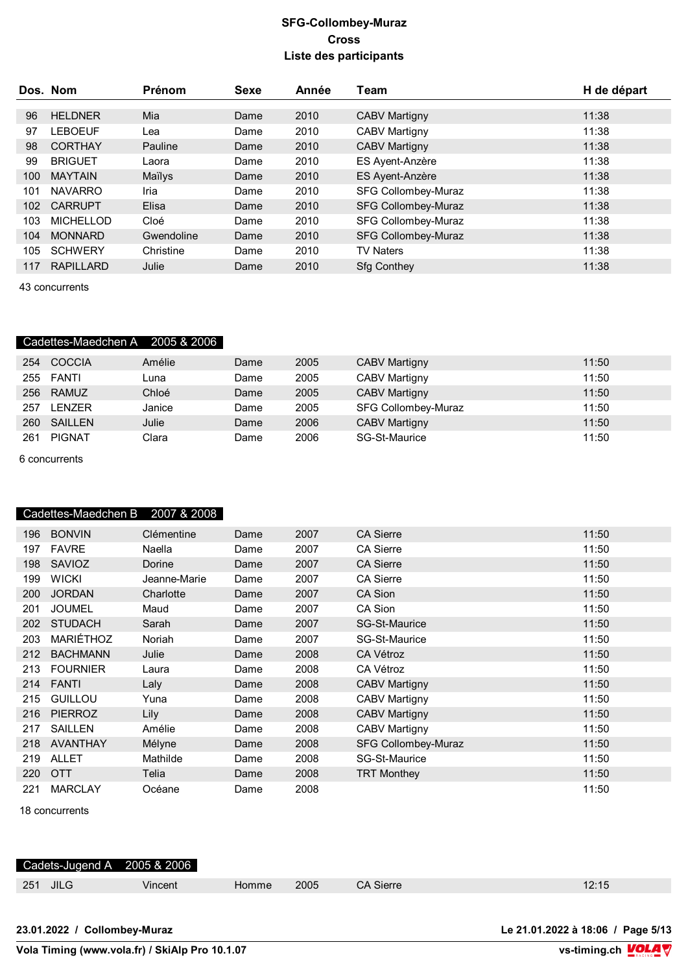|     | Dos. Nom         | Prénom     | <b>Sexe</b> | Année | Team                       | H de départ |
|-----|------------------|------------|-------------|-------|----------------------------|-------------|
|     |                  |            |             |       |                            |             |
| 96  | <b>HELDNER</b>   | Mia        | Dame        | 2010  | <b>CABV Martigny</b>       | 11:38       |
| 97  | <b>LEBOEUF</b>   | Lea        | Dame        | 2010  | <b>CABV Martigny</b>       | 11:38       |
| 98  | <b>CORTHAY</b>   | Pauline    | Dame        | 2010  | <b>CABV Martigny</b>       | 11:38       |
| 99  | <b>BRIGUET</b>   | Laora      | Dame        | 2010  | ES Ayent-Anzère            | 11:38       |
| 100 | <b>MAYTAIN</b>   | Maïlys     | Dame        | 2010  | ES Ayent-Anzère            | 11:38       |
| 101 | <b>NAVARRO</b>   | Iria       | Dame        | 2010  | <b>SFG Collombey-Muraz</b> | 11:38       |
| 102 | <b>CARRUPT</b>   | Elisa      | Dame        | 2010  | <b>SFG Collombey-Muraz</b> | 11:38       |
| 103 | <b>MICHELLOD</b> | Cloé       | Dame        | 2010  | SFG Collombey-Muraz        | 11:38       |
| 104 | <b>MONNARD</b>   | Gwendoline | Dame        | 2010  | <b>SFG Collombey-Muraz</b> | 11:38       |
| 105 | <b>SCHWERY</b>   | Christine  | Dame        | 2010  | <b>TV Naters</b>           | 11:38       |
| 117 | <b>RAPILLARD</b> | Julie      | Dame        | 2010  | <b>Sfg Conthey</b>         | 11:38       |

43 concurrents

# Cadettes-Maedchen A 2005 & 2006

|     | 254 COCCIA  | Amélie | Dame | 2005 | <b>CABV Martigny</b> | 11:50 |
|-----|-------------|--------|------|------|----------------------|-------|
|     | 255 FANTI   | Luna.  | Dame | 2005 | <b>CABV Martigny</b> | 11:50 |
|     | 256 RAMUZ   | Chloé  | Dame | 2005 | <b>CABV Martigny</b> | 11:50 |
|     | 257 LENZER  | Janice | Dame | 2005 | SFG Collombey-Muraz  | 11:50 |
|     | 260 SAILLEN | Julie  | Dame | 2006 | <b>CABV Martigny</b> | 11:50 |
| 261 | PIGNAT      | Clara  | Dame | 2006 | SG-St-Maurice        | 11:50 |

6 concurrents

Cadettes-Maedchen B 2007 & 2008

| 196 | <b>BONVIN</b>   | Clémentine   | Dame | 2007 | <b>CA Sierre</b>           | 11:50 |
|-----|-----------------|--------------|------|------|----------------------------|-------|
| 197 | <b>FAVRE</b>    | Naella       | Dame | 2007 | <b>CA Sierre</b>           | 11:50 |
| 198 | <b>SAVIOZ</b>   | Dorine       | Dame | 2007 | <b>CA Sierre</b>           | 11:50 |
| 199 | <b>WICKI</b>    | Jeanne-Marie | Dame | 2007 | <b>CA Sierre</b>           | 11:50 |
| 200 | <b>JORDAN</b>   | Charlotte    | Dame | 2007 | CA Sion                    | 11:50 |
| 201 | <b>JOUMEL</b>   | Maud         | Dame | 2007 | CA Sion                    | 11:50 |
| 202 | <b>STUDACH</b>  | Sarah        | Dame | 2007 | <b>SG-St-Maurice</b>       | 11:50 |
| 203 | MARIÉTHOZ       | Noriah       | Dame | 2007 | SG-St-Maurice              | 11:50 |
| 212 | <b>BACHMANN</b> | Julie        | Dame | 2008 | CA Vétroz                  | 11:50 |
| 213 | <b>FOURNIER</b> | Laura        | Dame | 2008 | CA Vétroz                  | 11:50 |
| 214 | FANTI           | Laly         | Dame | 2008 | <b>CABV Martigny</b>       | 11:50 |
| 215 | <b>GUILLOU</b>  | Yuna         | Dame | 2008 | <b>CABV Martigny</b>       | 11:50 |
| 216 | <b>PIERROZ</b>  | Lily         | Dame | 2008 | <b>CABV Martigny</b>       | 11:50 |
| 217 | <b>SAILLEN</b>  | Amélie       | Dame | 2008 | <b>CABV Martigny</b>       | 11:50 |
| 218 | <b>AVANTHAY</b> | Mélyne       | Dame | 2008 | <b>SFG Collombey-Muraz</b> | 11:50 |
| 219 | ALLET           | Mathilde     | Dame | 2008 | SG-St-Maurice              | 11:50 |
| 220 | <b>OTT</b>      | Telia        | Dame | 2008 | TRT Monthey                | 11:50 |
| 221 | <b>MARCLAY</b>  | Océane       | Dame | 2008 |                            | 11:50 |

18 concurrents

| Cadets-Jugend A 2005 & 2006 |         |       |      |           |       |
|-----------------------------|---------|-------|------|-----------|-------|
| 251 JILG                    | Vincent | Homme | 2005 | CA Sierre | 12:15 |
|                             |         |       |      |           |       |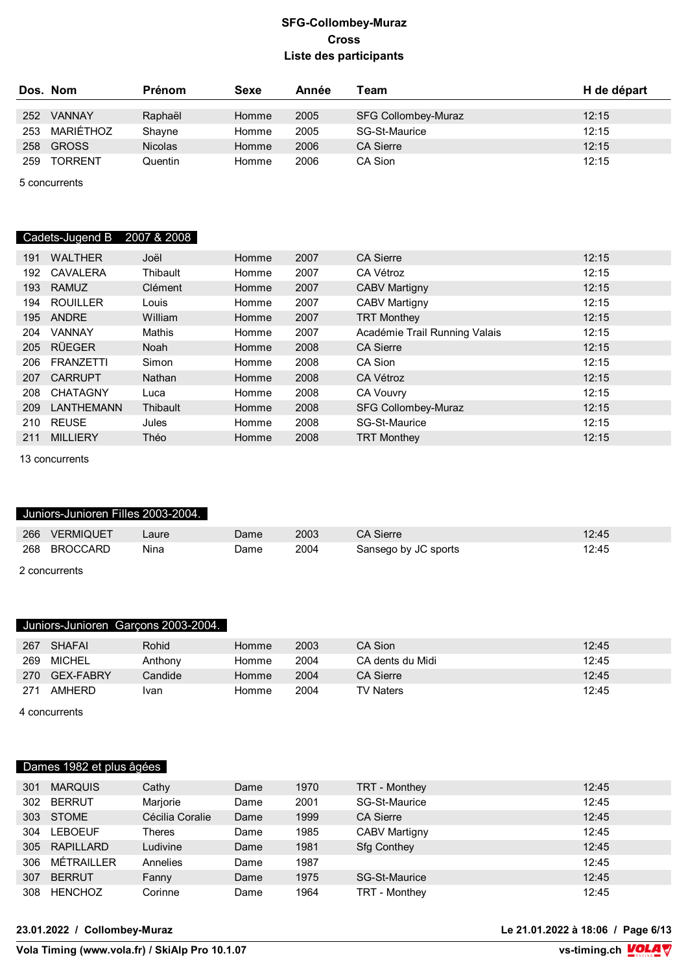|     | Dos. Nom       | <b>Prénom</b>  | Sexe  | Année | Team                       | H de départ |
|-----|----------------|----------------|-------|-------|----------------------------|-------------|
| 252 | <b>VANNAY</b>  | Raphaël        | Homme | 2005  | <b>SFG Collombey-Muraz</b> | 12:15       |
| 253 | MARIÉTHOZ      | Shayne         | Homme | 2005  | SG-St-Maurice              | 12:15       |
| 258 | <b>GROSS</b>   | <b>Nicolas</b> | Homme | 2006  | <b>CA Sierre</b>           | 12:15       |
| 259 | <b>TORRENT</b> | Quentin        | Homme | 2006  | CA Sion                    | 12:15       |

5 concurrents

# Cadets-Jugend B 2007 & 2008

| 191 | <b>WALTHER</b>   | Joël          | Homme | 2007 | <b>CA Sierre</b>              | 12:15 |
|-----|------------------|---------------|-------|------|-------------------------------|-------|
| 192 | <b>CAVALERA</b>  | Thibault      | Homme | 2007 | CA Vétroz                     | 12:15 |
| 193 | <b>RAMUZ</b>     | Clément       | Homme | 2007 | <b>CABV Martigny</b>          | 12:15 |
| 194 | ROUILLER         | Louis         | Homme | 2007 | <b>CABV Martigny</b>          | 12:15 |
| 195 | ANDRE            | William       | Homme | 2007 | <b>TRT Monthey</b>            | 12:15 |
| 204 | <b>VANNAY</b>    | Mathis        | Homme | 2007 | Académie Trail Running Valais | 12:15 |
| 205 | RÜEGER           | Noah          | Homme | 2008 | <b>CA Sierre</b>              | 12:15 |
| 206 | <b>FRANZETTI</b> | Simon         | Homme | 2008 | CA Sion                       | 12:15 |
| 207 | <b>CARRUPT</b>   | <b>Nathan</b> | Homme | 2008 | <b>CA Vétroz</b>              | 12:15 |
| 208 | <b>CHATAGNY</b>  | Luca          | Homme | 2008 | <b>CA Vouvry</b>              | 12:15 |
| 209 | LANTHEMANN       | Thibault      | Homme | 2008 | <b>SFG Collombey-Muraz</b>    | 12:15 |
| 210 | <b>REUSE</b>     | Jules         | Homme | 2008 | SG-St-Maurice                 | 12:15 |
| 211 | <b>MILLIERY</b>  | Théo          | Homme | 2008 | <b>TRT Monthey</b>            | 12:15 |

13 concurrents

#### Juniors-Junioren Filles 2003-2004.

| 266 | <b>VERMIQUET</b> | Laure | Dame | 2003 | <b>CA Sierre</b>     | 12:45 |  |  |
|-----|------------------|-------|------|------|----------------------|-------|--|--|
|     | 268 BROCCARD     | Nina  | Dame | 2004 | Sansego by JC sports | 12:45 |  |  |
|     | 2 concurrents    |       |      |      |                      |       |  |  |

#### Juniors-Junioren Garçons 2003-2004.

| 267 | SHAFAI    | Rohid               | Homme | 2003 | CA Sion          | 12:45 |
|-----|-----------|---------------------|-------|------|------------------|-------|
| 269 | MICHEL    | Anthony             | Homme | 2004 | CA dents du Midi | 12:45 |
| 270 | GEX-FABRY | $\mathsf{C}$ andide | Homme | 2004 | <b>CA Sierre</b> | 12:45 |
| 271 | AMHFRD    | Ivan                | Homme | 2004 | <b>TV Naters</b> | 12:45 |

4 concurrents

### Dames 1982 et plus âgées

| 301 | <b>MARQUIS</b> | Cathy           | Dame | 1970 | TRT - Monthey        | 12:45 |
|-----|----------------|-----------------|------|------|----------------------|-------|
| 302 | <b>BERRUT</b>  | Marjorie        | Dame | 2001 | SG-St-Maurice        | 12:45 |
| 303 | <b>STOME</b>   | Cécilia Coralie | Dame | 1999 | <b>CA Sierre</b>     | 12:45 |
| 304 | <b>LEBOEUF</b> | Theres          | Dame | 1985 | <b>CABV Martigny</b> | 12:45 |
| 305 | RAPILLARD      | Ludivine        | Dame | 1981 | <b>Sfg Conthey</b>   | 12:45 |
| 306 | MÉTRAILLER     | Annelies        | Dame | 1987 |                      | 12:45 |
| 307 | <b>BERRUT</b>  | Fanny           | Dame | 1975 | SG-St-Maurice        | 12:45 |
| 308 | <b>HENCHOZ</b> | Corinne         | Dame | 1964 | TRT - Monthey        | 12:45 |

**23.01.2022 / Collombey-Muraz Le 21.01.2022 à 18:06 / Page 6/13**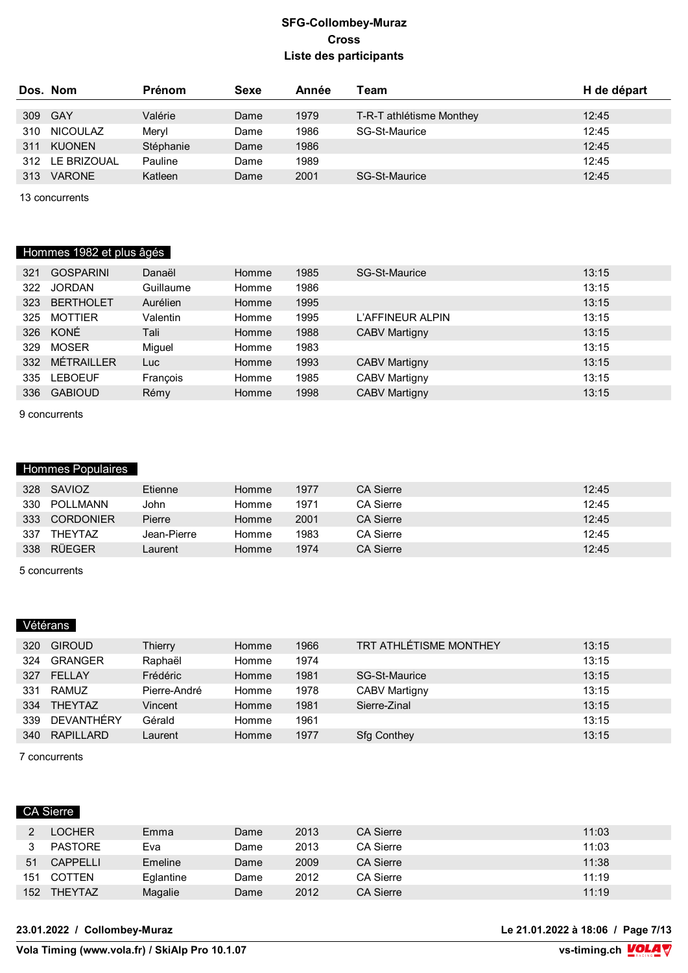|     | Dos. Nom        | <b>Prénom</b> | Sexe | Année | Team                     | H de départ |
|-----|-----------------|---------------|------|-------|--------------------------|-------------|
|     |                 |               |      |       |                          |             |
|     | 309 GAY         | Valérie       | Dame | 1979  | T-R-T athlétisme Monthey | 12:45       |
| 310 | <b>NICOULAZ</b> | Mervl         | Dame | 1986  | SG-St-Maurice            | 12:45       |
| 311 | <b>KUONEN</b>   | Stéphanie     | Dame | 1986  |                          | 12:45       |
|     | 312 LE BRIZOUAL | Pauline       | Dame | 1989  |                          | 12:45       |
| 313 | <b>VARONE</b>   | Katleen       | Dame | 2001  | <b>SG-St-Maurice</b>     | 12:45       |

13 concurrents

# Hommes 1982 et plus âgés

| 321 | <b>GOSPARINI</b>  | Danaël    | Homme | 1985 | SG-St-Maurice        | 13:15 |
|-----|-------------------|-----------|-------|------|----------------------|-------|
| 322 | <b>JORDAN</b>     | Guillaume | Homme | 1986 |                      | 13:15 |
| 323 | <b>BERTHOLET</b>  | Aurélien  | Homme | 1995 |                      | 13:15 |
| 325 | <b>MOTTIER</b>    | Valentin  | Homme | 1995 | L'AFFINEUR ALPIN     | 13:15 |
| 326 | KONÉ              | Tali      | Homme | 1988 | <b>CABV Martigny</b> | 13:15 |
| 329 | <b>MOSER</b>      | Miguel    | Homme | 1983 |                      | 13:15 |
| 332 | <b>MÉTRAILLER</b> | Luc.      | Homme | 1993 | <b>CABV Martigny</b> | 13:15 |
| 335 | <b>LEBOEUF</b>    | François  | Homme | 1985 | <b>CABV Martigny</b> | 13:15 |
| 336 | <b>GABIOUD</b>    | Rémy      | Homme | 1998 | <b>CABV Martigny</b> | 13:15 |
|     |                   |           |       |      |                      |       |

9 concurrents

### Hommes Populaires

| 328 | SAVIOZ           | Etienne     | Homme | 1977 | <b>CA Sierre</b> | 12:45 |
|-----|------------------|-------------|-------|------|------------------|-------|
| 330 | POLLMANN         | John        | Homme | 1971 | <b>CA Sierre</b> | 12:45 |
| 333 | <b>CORDONIER</b> | Pierre      | Homme | 2001 | <b>CA Sierre</b> | 12:45 |
| 337 | <b>THEYTAZ</b>   | Jean-Pierre | Homme | 1983 | <b>CA Sierre</b> | 12:45 |
| 338 | RÜFGFR           | _aurent_    | Homme | 1974 | <b>CA Sierre</b> | 12:45 |
|     |                  |             |       |      |                  |       |

5 concurrents

# Vétérans

| 320 | <b>GIROUD</b>  | Thierry      | Homme | 1966 | TRT ATHLÉTISME MONTHEY | 13:15 |
|-----|----------------|--------------|-------|------|------------------------|-------|
| 324 | <b>GRANGER</b> | Raphaël      | Homme | 1974 |                        | 13:15 |
| 327 | FELLAY         | Frédéric     | Homme | 1981 | SG-St-Maurice          | 13:15 |
| 331 | RAMUZ          | Pierre-André | Homme | 1978 | <b>CABV Martigny</b>   | 13:15 |
| 334 | <b>THEYTAZ</b> | Vincent      | Homme | 1981 | Sierre-Zinal           | 13:15 |
| 339 | DEVANTHÉRY     | Gérald       | Homme | 1961 |                        | 13:15 |
| 340 | RAPILLARD      | Laurent      | Homme | 1977 | <b>Sfg Conthey</b>     | 13:15 |
|     |                |              |       |      |                        |       |

7 concurrents

### CA Sierre

|     | <b>LOCHER</b>   | Emma      | Dame | 2013 | <b>CA Sierre</b> | 11:03 |
|-----|-----------------|-----------|------|------|------------------|-------|
|     | PASTORE         | Eva       | Dame | 2013 | <b>CA Sierre</b> | 11:03 |
| 51  | <b>CAPPELLI</b> | Emeline   | Dame | 2009 | <b>CA Sierre</b> | 11:38 |
| 151 | <b>COTTEN</b>   | Eglantine | Dame | 2012 | <b>CA Sierre</b> | 11:19 |
| 152 | <b>THEYTAZ</b>  | Magalie   | Dame | 2012 | <b>CA Sierre</b> | 11:19 |

#### **23.01.2022 / Collombey-Muraz Le 21.01.2022 à 18:06 / Page 7/13**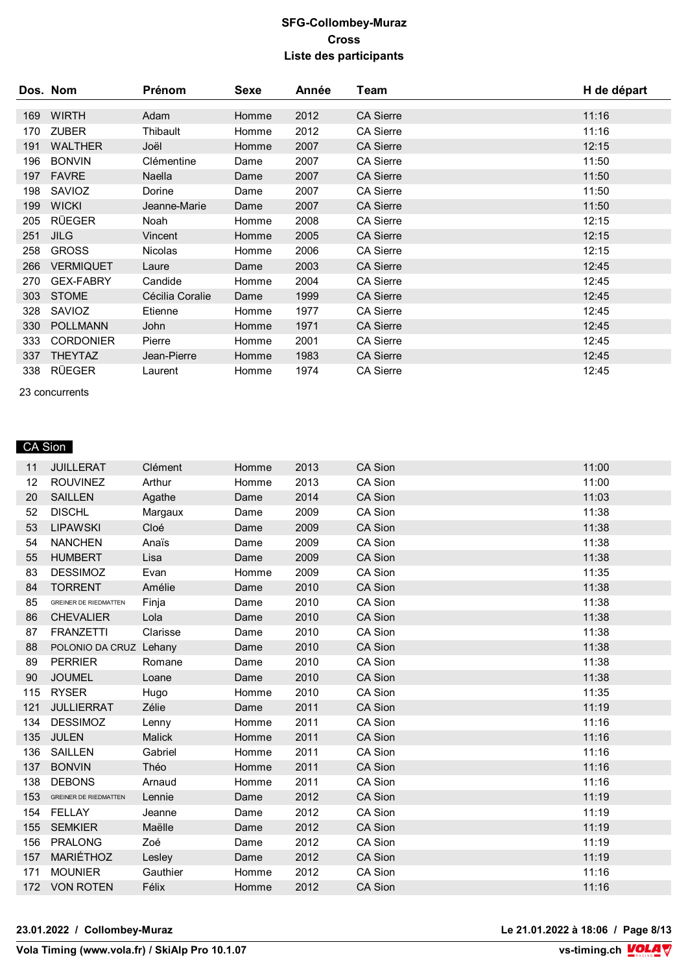|     | Dos. Nom         | Prénom          | Sexe  | Année | Team             | H de départ |
|-----|------------------|-----------------|-------|-------|------------------|-------------|
| 169 | <b>WIRTH</b>     | Adam            | Homme | 2012  | <b>CA Sierre</b> | 11:16       |
|     |                  |                 |       |       |                  |             |
| 170 | <b>ZUBER</b>     | Thibault        | Homme | 2012  | <b>CA Sierre</b> | 11:16       |
| 191 | <b>WALTHER</b>   | Joël            | Homme | 2007  | <b>CA Sierre</b> | 12:15       |
| 196 | <b>BONVIN</b>    | Clémentine      | Dame  | 2007  | <b>CA Sierre</b> | 11:50       |
| 197 | <b>FAVRE</b>     | Naella          | Dame  | 2007  | <b>CA Sierre</b> | 11:50       |
| 198 | SAVIOZ           | Dorine          | Dame  | 2007  | <b>CA Sierre</b> | 11:50       |
| 199 | <b>WICKI</b>     | Jeanne-Marie    | Dame  | 2007  | <b>CA Sierre</b> | 11:50       |
| 205 | <b>RÜEGER</b>    | Noah            | Homme | 2008  | <b>CA Sierre</b> | 12:15       |
| 251 | <b>JILG</b>      | Vincent         | Homme | 2005  | <b>CA Sierre</b> | 12:15       |
| 258 | <b>GROSS</b>     | <b>Nicolas</b>  | Homme | 2006  | <b>CA Sierre</b> | 12:15       |
| 266 | <b>VERMIQUET</b> | Laure           | Dame  | 2003  | <b>CA Sierre</b> | 12:45       |
| 270 | <b>GEX-FABRY</b> | Candide         | Homme | 2004  | <b>CA Sierre</b> | 12:45       |
| 303 | <b>STOME</b>     | Cécilia Coralie | Dame  | 1999  | <b>CA Sierre</b> | 12:45       |
| 328 | SAVIOZ           | Etienne         | Homme | 1977  | <b>CA Sierre</b> | 12:45       |
| 330 | <b>POLLMANN</b>  | John            | Homme | 1971  | <b>CA Sierre</b> | 12:45       |
| 333 | <b>CORDONIER</b> | Pierre          | Homme | 2001  | <b>CA Sierre</b> | 12:45       |
| 337 | <b>THEYTAZ</b>   | Jean-Pierre     | Homme | 1983  | <b>CA Sierre</b> | 12:45       |
| 338 | <b>RÜEGER</b>    | Laurent         | Homme | 1974  | <b>CA Sierre</b> | 12:45       |

23 concurrents

# CA Sion

| 11  | <b>JUILLERAT</b>             | Clément  | Homme | 2013 | CA Sion        | 11:00 |
|-----|------------------------------|----------|-------|------|----------------|-------|
| 12  | <b>ROUVINEZ</b>              | Arthur   | Homme | 2013 | CA Sion        | 11:00 |
| 20  | <b>SAILLEN</b>               | Agathe   | Dame  | 2014 | CA Sion        | 11:03 |
| 52  | <b>DISCHL</b>                | Margaux  | Dame  | 2009 | CA Sion        | 11:38 |
| 53  | <b>LIPAWSKI</b>              | Cloé     | Dame  | 2009 | CA Sion        | 11:38 |
| 54  | <b>NANCHEN</b>               | Anaïs    | Dame  | 2009 | CA Sion        | 11:38 |
| 55  | <b>HUMBERT</b>               | Lisa     | Dame  | 2009 | CA Sion        | 11:38 |
| 83  | <b>DESSIMOZ</b>              | Evan     | Homme | 2009 | CA Sion        | 11:35 |
| 84  | <b>TORRENT</b>               | Amélie   | Dame  | 2010 | <b>CA Sion</b> | 11:38 |
| 85  | <b>GREINER DE RIEDMATTEN</b> | Finja    | Dame  | 2010 | CA Sion        | 11:38 |
| 86  | <b>CHEVALIER</b>             | Lola     | Dame  | 2010 | CA Sion        | 11:38 |
| 87  | <b>FRANZETTI</b>             | Clarisse | Dame  | 2010 | CA Sion        | 11:38 |
| 88  | POLONIO DA CRUZ Lehany       |          | Dame  | 2010 | CA Sion        | 11:38 |
| 89  | <b>PERRIER</b>               | Romane   | Dame  | 2010 | CA Sion        | 11:38 |
| 90  | <b>JOUMEL</b>                | Loane    | Dame  | 2010 | CA Sion        | 11:38 |
| 115 | <b>RYSER</b>                 | Hugo     | Homme | 2010 | CA Sion        | 11:35 |
| 121 | <b>JULLIERRAT</b>            | Zélie    | Dame  | 2011 | CA Sion        | 11:19 |
| 134 | <b>DESSIMOZ</b>              | Lenny    | Homme | 2011 | CA Sion        | 11:16 |
| 135 | JULEN                        | Malick   | Homme | 2011 | CA Sion        | 11:16 |
|     | 136 SAILLEN                  | Gabriel  | Homme | 2011 | CA Sion        | 11:16 |
|     | 137 BONVIN                   | Théo     | Homme | 2011 | CA Sion        | 11:16 |
|     | 138 DEBONS                   | Arnaud   | Homme | 2011 | CA Sion        | 11:16 |
|     | 153 GREINER DE RIEDMATTEN    | Lennie   | Dame  | 2012 | CA Sion        | 11:19 |
|     | 154 FELLAY                   | Jeanne   | Dame  | 2012 | CA Sion        | 11:19 |
|     | 155 SEMKIER                  | Maëlle   | Dame  | 2012 | <b>CA Sion</b> | 11:19 |
|     | 156 PRALONG                  | Zoé      | Dame  | 2012 | CA Sion        | 11:19 |
|     | 157 MARIÉTHOZ                | Lesley   | Dame  | 2012 | CA Sion        | 11:19 |
| 171 | <b>MOUNIER</b>               | Gauthier | Homme | 2012 | CA Sion        | 11:16 |
|     | 172 VON ROTEN                | Félix    | Homme | 2012 | CA Sion        | 11:16 |
|     |                              |          |       |      |                |       |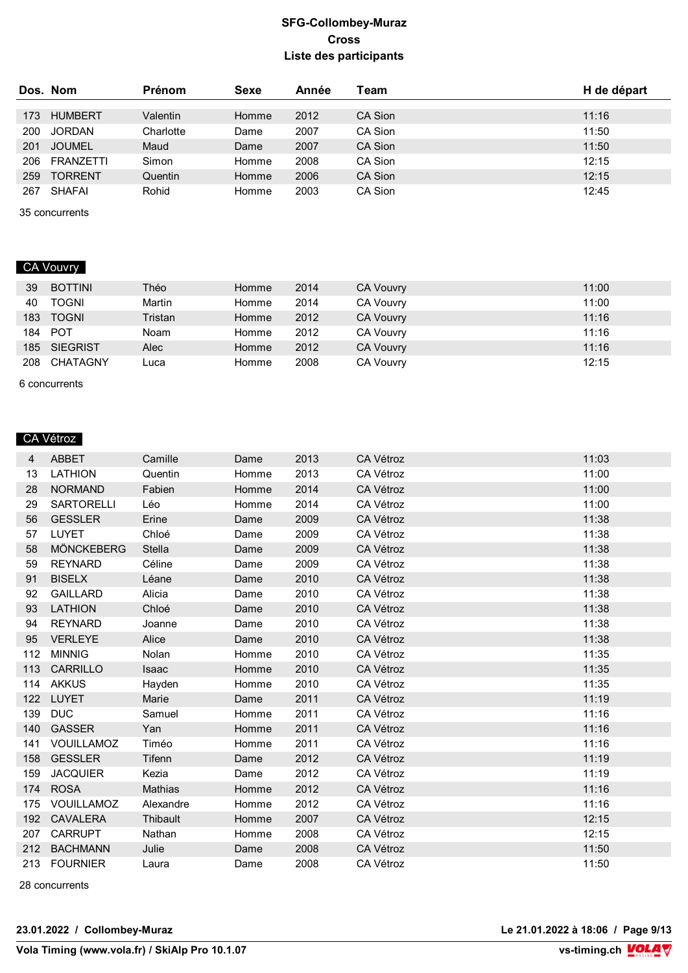|     | Dos. Nom       | <b>Prénom</b> | Sexe  | Année | Team    | H de départ |
|-----|----------------|---------------|-------|-------|---------|-------------|
|     |                |               |       |       |         |             |
| 173 | <b>HUMBERT</b> | Valentin      | Homme | 2012  | CA Sion | 11:16       |
| 200 | <b>JORDAN</b>  | Charlotte     | Dame  | 2007  | CA Sion | 11:50       |
| 201 | <b>JOUMEL</b>  | Maud          | Dame  | 2007  | CA Sion | 11:50       |
| 206 | FRANZETTI      | Simon         | Homme | 2008  | CA Sion | 12:15       |
| 259 | <b>TORRENT</b> | Quentin       | Homme | 2006  | CA Sion | 12:15       |
| 267 | SHAFAI         | Rohid         | Homme | 2003  | CA Sion | 12:45       |

35 concurrents

# CA Vouvry

| 39  | <b>BOTTINI</b> | Théo    | Homme | 2014 | <b>CA Vouvry</b> | 11:00 |
|-----|----------------|---------|-------|------|------------------|-------|
| 40  | <b>TOGNI</b>   | Martin  | Homme | 2014 | <b>CA Vouvry</b> | 11:00 |
| 183 | <b>TOGNI</b>   | Tristan | Homme | 2012 | <b>CA Vouvry</b> | 11:16 |
| 184 | POT            | Noam    | Homme | 2012 | <b>CA Vouvry</b> | 11:16 |
| 185 | SIEGRIST       | Alec    | Homme | 2012 | <b>CA Vouvry</b> | 11:16 |
| 208 | CHATAGNY       | -uca    | Homme | 2008 | <b>CA Vouvry</b> | 12:15 |

6 concurrents

### CA Vétroz

| 4   | ABBET             | Camille   | Dame  | 2013 | CA Vétroz        | 11:03 |
|-----|-------------------|-----------|-------|------|------------------|-------|
| 13  | <b>LATHION</b>    | Quentin   | Homme | 2013 | CA Vétroz        | 11:00 |
| 28  | <b>NORMAND</b>    | Fabien    | Homme | 2014 | CA Vétroz        | 11:00 |
| 29  | <b>SARTORELLI</b> | Léo       | Homme | 2014 | CA Vétroz        | 11:00 |
| 56  | <b>GESSLER</b>    | Erine     | Dame  | 2009 | CA Vétroz        | 11:38 |
| 57  | LUYET             | Chloé     | Dame  | 2009 | CA Vétroz        | 11:38 |
| 58  | <b>MÖNCKEBERG</b> | Stella    | Dame  | 2009 | <b>CA Vétroz</b> | 11:38 |
| 59  | <b>REYNARD</b>    | Céline    | Dame  | 2009 | CA Vétroz        | 11:38 |
| 91  | <b>BISELX</b>     | Léane     | Dame  | 2010 | CA Vétroz        | 11:38 |
| 92  | <b>GAILLARD</b>   | Alicia    | Dame  | 2010 | CA Vétroz        | 11:38 |
| 93  | <b>LATHION</b>    | Chloé     | Dame  | 2010 | CA Vétroz        | 11:38 |
| 94  | <b>REYNARD</b>    | Joanne    | Dame  | 2010 | CA Vétroz        | 11:38 |
| 95  | <b>VERLEYE</b>    | Alice     | Dame  | 2010 | <b>CA Vétroz</b> | 11:38 |
| 112 | <b>MINNIG</b>     | Nolan     | Homme | 2010 | CA Vétroz        | 11:35 |
|     | 113 CARRILLO      | Isaac     | Homme | 2010 | CA Vétroz        | 11:35 |
|     | 114 AKKUS         | Hayden    | Homme | 2010 | CA Vétroz        | 11:35 |
|     | 122 LUYET         | Marie     | Dame  | 2011 | CA Vétroz        | 11:19 |
|     | 139 DUC           | Samuel    | Homme | 2011 | CA Vétroz        | 11:16 |
|     | 140 GASSER        | Yan       | Homme | 2011 | <b>CA Vétroz</b> | 11:16 |
|     | 141 VOUILLAMOZ    | Timéo     | Homme | 2011 | CA Vétroz        | 11:16 |
|     | 158 GESSLER       | Tifenn    | Dame  | 2012 | CA Vétroz        | 11:19 |
| 159 | <b>JACQUIER</b>   | Kezia     | Dame  | 2012 | CA Vétroz        | 11:19 |
|     | 174 ROSA          | Mathias   | Homme | 2012 | CA Vétroz        | 11:16 |
| 175 | VOUILLAMOZ        | Alexandre | Homme | 2012 | CA Vétroz        | 11:16 |
|     | 192 CAVALERA      | Thibault  | Homme | 2007 | CA Vétroz        | 12:15 |
|     | 207 CARRUPT       | Nathan    | Homme | 2008 | CA Vétroz        | 12:15 |
|     | 212 BACHMANN      | Julie     | Dame  | 2008 | CA Vétroz        | 11:50 |
|     | 213 FOURNIER      | Laura     | Dame  | 2008 | CA Vétroz        | 11:50 |

28 concurrents

**23.01.2022 / Collombey-Muraz Le 21.01.2022 à 18:06 / Page 9/13**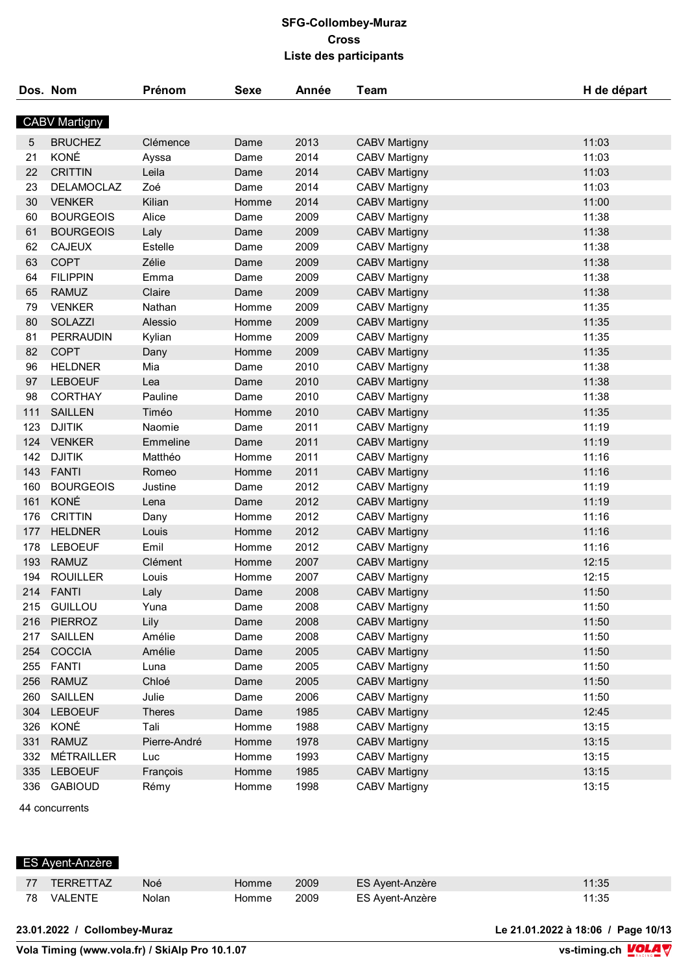|     | Dos. Nom             | Prénom        | Sexe  | Année | Team                 | H de départ |
|-----|----------------------|---------------|-------|-------|----------------------|-------------|
|     | <b>CABV Martigny</b> |               |       |       |                      |             |
| 5   | <b>BRUCHEZ</b>       | Clémence      | Dame  | 2013  | <b>CABV Martigny</b> | 11:03       |
| 21  | KONÉ                 | Ayssa         | Dame  | 2014  | <b>CABV Martigny</b> | 11:03       |
| 22  | <b>CRITTIN</b>       | Leila         | Dame  | 2014  | <b>CABV Martigny</b> | 11:03       |
| 23  | <b>DELAMOCLAZ</b>    | Zoé           | Dame  | 2014  | <b>CABV Martigny</b> | 11:03       |
| 30  | <b>VENKER</b>        | Kilian        | Homme | 2014  | <b>CABV Martigny</b> | 11:00       |
| 60  | <b>BOURGEOIS</b>     | Alice         | Dame  | 2009  | <b>CABV Martigny</b> | 11:38       |
| 61  | <b>BOURGEOIS</b>     | Laly          | Dame  | 2009  | <b>CABV Martigny</b> | 11:38       |
| 62  | <b>CAJEUX</b>        | Estelle       | Dame  | 2009  | <b>CABV Martigny</b> | 11:38       |
| 63  | <b>COPT</b>          | Zélie         | Dame  | 2009  | <b>CABV Martigny</b> | 11:38       |
| 64  | <b>FILIPPIN</b>      | Emma          | Dame  | 2009  | <b>CABV Martigny</b> | 11:38       |
| 65  | <b>RAMUZ</b>         | Claire        | Dame  | 2009  | <b>CABV Martigny</b> | 11:38       |
| 79  | <b>VENKER</b>        | Nathan        | Homme | 2009  | <b>CABV Martigny</b> | 11:35       |
| 80  | SOLAZZI              | Alessio       | Homme | 2009  | <b>CABV Martigny</b> | 11:35       |
| 81  | <b>PERRAUDIN</b>     | Kylian        | Homme | 2009  | <b>CABV Martigny</b> | 11:35       |
| 82  | <b>COPT</b>          | Dany          | Homme | 2009  | <b>CABV Martigny</b> | 11:35       |
| 96  | <b>HELDNER</b>       | Mia           | Dame  | 2010  | <b>CABV Martigny</b> | 11:38       |
| 97  | <b>LEBOEUF</b>       | Lea           | Dame  | 2010  | <b>CABV Martigny</b> | 11:38       |
| 98  | <b>CORTHAY</b>       | Pauline       | Dame  | 2010  | <b>CABV Martigny</b> | 11:38       |
| 111 | <b>SAILLEN</b>       | Timéo         | Homme | 2010  | <b>CABV Martigny</b> | 11:35       |
| 123 | <b>DJITIK</b>        | Naomie        | Dame  | 2011  | <b>CABV Martigny</b> | 11:19       |
| 124 | <b>VENKER</b>        | Emmeline      | Dame  | 2011  | <b>CABV Martigny</b> | 11:19       |
| 142 | <b>DJITIK</b>        | Matthéo       | Homme | 2011  | <b>CABV Martigny</b> | 11:16       |
| 143 | <b>FANTI</b>         | Romeo         | Homme | 2011  | <b>CABV Martigny</b> | 11:16       |
| 160 | <b>BOURGEOIS</b>     | Justine       | Dame  | 2012  | <b>CABV Martigny</b> | 11:19       |
| 161 | KONÉ                 | Lena          | Dame  | 2012  | <b>CABV Martigny</b> | 11:19       |
| 176 | <b>CRITTIN</b>       | Dany          | Homme | 2012  | <b>CABV Martigny</b> | 11:16       |
| 177 | <b>HELDNER</b>       | Louis         | Homme | 2012  | <b>CABV Martigny</b> | 11:16       |
| 178 | <b>LEBOEUF</b>       | Emil          | Homme | 2012  | <b>CABV Martigny</b> | 11:16       |
| 193 | <b>RAMUZ</b>         | Clément       | Homme | 2007  |                      | 12:15       |
| 194 | <b>ROUILLER</b>      | Louis         | Homme | 2007  | <b>CABV Martigny</b> | 12:15       |
| 214 |                      |               |       | 2008  | <b>CABV Martigny</b> |             |
|     | <b>FANTI</b>         | Laly          | Dame  |       | <b>CABV Martigny</b> | 11:50       |
| 215 | <b>GUILLOU</b>       | Yuna          | Dame  | 2008  | <b>CABV Martigny</b> | 11:50       |
| 216 | <b>PIERROZ</b>       | Lily          | Dame  | 2008  | <b>CABV Martigny</b> | 11:50       |
| 217 | <b>SAILLEN</b>       | Amélie        | Dame  | 2008  | <b>CABV Martigny</b> | 11:50       |
| 254 | COCCIA               | Amélie        | Dame  | 2005  | <b>CABV Martigny</b> | 11:50       |
| 255 | <b>FANTI</b>         | Luna          | Dame  | 2005  | <b>CABV Martigny</b> | 11:50       |
| 256 | <b>RAMUZ</b>         | Chloé         | Dame  | 2005  | <b>CABV Martigny</b> | 11:50       |
| 260 | SAILLEN              | Julie         | Dame  | 2006  | <b>CABV Martigny</b> | 11:50       |
| 304 | <b>LEBOEUF</b>       | <b>Theres</b> | Dame  | 1985  | <b>CABV Martigny</b> | 12:45       |
| 326 | KONÉ                 | Tali          | Homme | 1988  | <b>CABV Martigny</b> | 13:15       |
| 331 | <b>RAMUZ</b>         | Pierre-André  | Homme | 1978  | <b>CABV Martigny</b> | 13:15       |
| 332 | MÉTRAILLER           | Luc           | Homme | 1993  | <b>CABV Martigny</b> | 13:15       |
| 335 | <b>LEBOEUF</b>       | François      | Homme | 1985  | <b>CABV Martigny</b> | 13:15       |
| 336 | <b>GABIOUD</b>       | Rémy          | Homme | 1998  | <b>CABV Martigny</b> | 13:15       |

44 concurrents

|    | <b>ES Avent-Anzère</b> |       |       |      |                 |       |  |  |  |
|----|------------------------|-------|-------|------|-----------------|-------|--|--|--|
| 77 | <b>TERRETTAZ</b>       | Noé   | Homme | 2009 | ES Avent-Anzère | 11:35 |  |  |  |
| 78 | VALENTE                | Nolan | Homme | 2009 | ES Avent-Anzère | 11:35 |  |  |  |

#### **23.01.2022 / Collombey-Muraz Le 21.01.2022 à 18:06 / Page 10/13**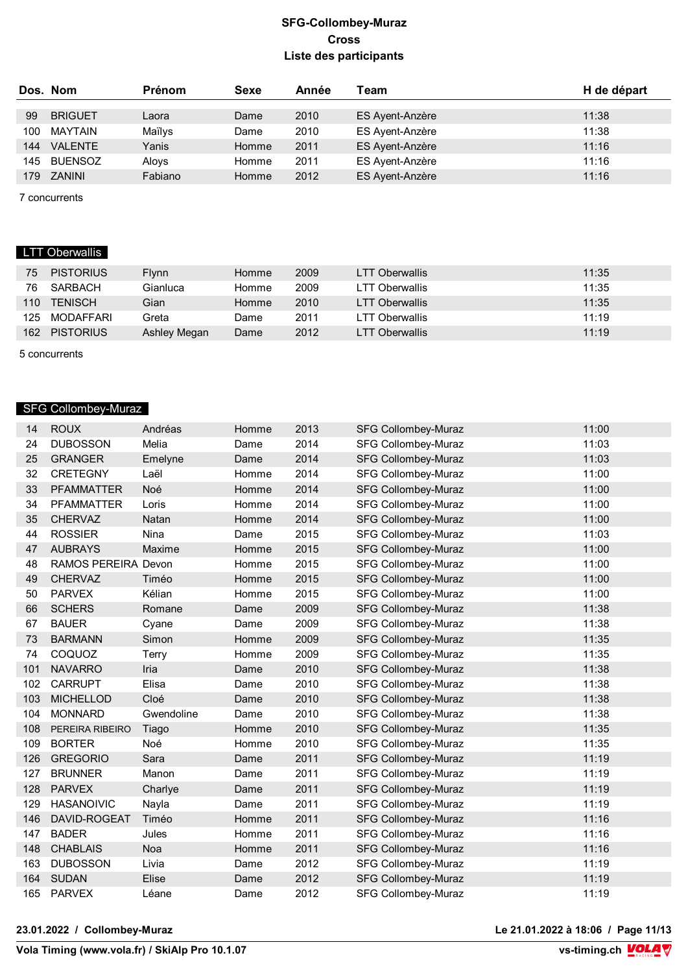|     | Dos. Nom        | <b>Prénom</b> | Sexe  | Année | Team            | H de départ |
|-----|-----------------|---------------|-------|-------|-----------------|-------------|
| 99  | <b>BRIGUET</b>  | Laora         | Dame  | 2010  | ES Ayent-Anzère | 11:38       |
| 100 | <b>MAYTAIN</b>  | Maïlys        | Dame  | 2010  | ES Ayent-Anzère | 11:38       |
| 144 | <b>VAI FNTF</b> | Yanis         | Homme | 2011  | ES Ayent-Anzère | 11:16       |
| 145 | BUENSOZ         | Aloys         | Homme | 2011  | ES Ayent-Anzère | 11:16       |
| 179 | ZANINI          | Fabiano       | Homme | 2012  | ES Ayent-Anzère | 11:16       |
|     |                 |               |       |       |                 |             |

7 concurrents

# LTT Oberwallis

| 75               | <b>PISTORIUS</b> | <b>Flynn</b> | Homme | 2009 | <b>LTT Oberwallis</b> | 11:35 |
|------------------|------------------|--------------|-------|------|-----------------------|-------|
| 76               | SARBACH          | Gianluca     | Homme | 2009 | LTT Oberwallis        | 11:35 |
| 110              | <b>TENISCH</b>   | Gian         | Homme | 2010 | LTT Oberwallis        | 11:35 |
| 125              | MODAFFARI        | Greta        | Dame  | 2011 | LTT Oberwallis        | 11:19 |
| 162 <sup>°</sup> | <b>PISTORIUS</b> | Ashley Megan | Dame  | 2012 | <b>LTT Oberwallis</b> | 11:19 |

5 concurrents

# SFG Collombey-Muraz

| 14  | <b>ROUX</b>         | Andréas     | Homme | 2013 | <b>SFG Collombey-Muraz</b> | 11:00 |
|-----|---------------------|-------------|-------|------|----------------------------|-------|
| 24  | <b>DUBOSSON</b>     | Melia       | Dame  | 2014 | <b>SFG Collombey-Muraz</b> | 11:03 |
| 25  | <b>GRANGER</b>      | Emelyne     | Dame  | 2014 | <b>SFG Collombey-Muraz</b> | 11:03 |
| 32  | <b>CRETEGNY</b>     | Laël        | Homme | 2014 | <b>SFG Collombey-Muraz</b> | 11:00 |
| 33  | <b>PFAMMATTER</b>   | Noé         | Homme | 2014 | <b>SFG Collombey-Muraz</b> | 11:00 |
| 34  | <b>PFAMMATTER</b>   | Loris       | Homme | 2014 | <b>SFG Collombey-Muraz</b> | 11:00 |
| 35  | <b>CHERVAZ</b>      | Natan       | Homme | 2014 | <b>SFG Collombey-Muraz</b> | 11:00 |
| 44  | <b>ROSSIER</b>      | <b>Nina</b> | Dame  | 2015 | <b>SFG Collombey-Muraz</b> | 11:03 |
| 47  | <b>AUBRAYS</b>      | Maxime      | Homme | 2015 | <b>SFG Collombey-Muraz</b> | 11:00 |
| 48  | RAMOS PEREIRA Devon |             | Homme | 2015 | <b>SFG Collombey-Muraz</b> | 11:00 |
| 49  | <b>CHERVAZ</b>      | Timéo       | Homme | 2015 | <b>SFG Collombey-Muraz</b> | 11:00 |
| 50  | <b>PARVEX</b>       | Kélian      | Homme | 2015 | <b>SFG Collombey-Muraz</b> | 11:00 |
| 66  | <b>SCHERS</b>       | Romane      | Dame  | 2009 | <b>SFG Collombey-Muraz</b> | 11:38 |
| 67  | <b>BAUER</b>        | Cyane       | Dame  | 2009 | <b>SFG Collombey-Muraz</b> | 11:38 |
| 73  | <b>BARMANN</b>      | Simon       | Homme | 2009 | <b>SFG Collombey-Muraz</b> | 11:35 |
| 74  | COQUOZ              | Terry       | Homme | 2009 | <b>SFG Collombey-Muraz</b> | 11:35 |
| 101 | <b>NAVARRO</b>      | Iria        | Dame  | 2010 | <b>SFG Collombey-Muraz</b> | 11:38 |
| 102 | <b>CARRUPT</b>      | Elisa       | Dame  | 2010 | <b>SFG Collombey-Muraz</b> | 11:38 |
| 103 | <b>MICHELLOD</b>    | Cloé        | Dame  | 2010 | <b>SFG Collombey-Muraz</b> | 11:38 |
| 104 | <b>MONNARD</b>      | Gwendoline  | Dame  | 2010 | <b>SFG Collombey-Muraz</b> | 11:38 |
| 108 | PEREIRA RIBEIRO     | Tiago       | Homme | 2010 | <b>SFG Collombey-Muraz</b> | 11:35 |
| 109 | <b>BORTER</b>       | Noé         | Homme | 2010 | <b>SFG Collombey-Muraz</b> | 11:35 |
| 126 | <b>GREGORIO</b>     | Sara        | Dame  | 2011 | <b>SFG Collombey-Muraz</b> | 11:19 |
| 127 | <b>BRUNNER</b>      | Manon       | Dame  | 2011 | SFG Collombey-Muraz        | 11:19 |
| 128 | <b>PARVEX</b>       | Charlye     | Dame  | 2011 | <b>SFG Collombey-Muraz</b> | 11:19 |
| 129 | <b>HASANOIVIC</b>   | Nayla       | Dame  | 2011 | SFG Collombey-Muraz        | 11:19 |
| 146 | DAVID-ROGEAT        | Timéo       | Homme | 2011 | <b>SFG Collombey-Muraz</b> | 11:16 |
| 147 | <b>BADER</b>        | Jules       | Homme | 2011 | <b>SFG Collombey-Muraz</b> | 11:16 |
| 148 | <b>CHABLAIS</b>     | Noa         | Homme | 2011 | <b>SFG Collombey-Muraz</b> | 11:16 |
| 163 | <b>DUBOSSON</b>     | Livia       | Dame  | 2012 | <b>SFG Collombey-Muraz</b> | 11:19 |
| 164 | <b>SUDAN</b>        | Elise       | Dame  | 2012 | <b>SFG Collombey-Muraz</b> | 11:19 |
| 165 | <b>PARVEX</b>       | Léane       | Dame  | 2012 | <b>SFG Collombey-Muraz</b> | 11:19 |

**23.01.2022 / Collombey-Muraz Le 21.01.2022 à 18:06 / Page 11/13**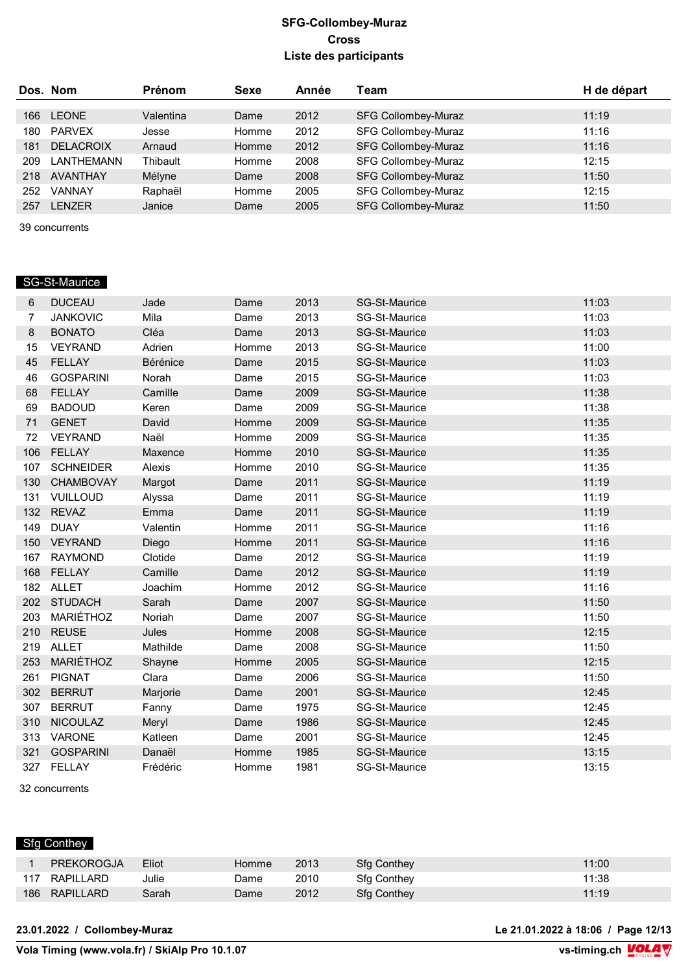|     | Dos. Nom         | <b>Prénom</b> | Sexe  | Année | Team                       | H de départ |
|-----|------------------|---------------|-------|-------|----------------------------|-------------|
|     |                  |               |       |       |                            |             |
| 166 | <b>LEONE</b>     | Valentina     | Dame  | 2012  | <b>SFG Collombey-Muraz</b> | 11:19       |
| 180 | <b>PARVEX</b>    | Jesse         | Homme | 2012  | <b>SFG Collombey-Muraz</b> | 11:16       |
| 181 | <b>DELACROIX</b> | Arnaud        | Homme | 2012  | <b>SFG Collombey-Muraz</b> | 11:16       |
| 209 | LANTHEMANN       | Thibault      | Homme | 2008  | <b>SFG Collombey-Muraz</b> | 12:15       |
| 218 | <b>AVANTHAY</b>  | Mélyne        | Dame  | 2008  | <b>SFG Collombey-Muraz</b> | 11:50       |
| 252 | VANNAY           | Raphaël       | Homme | 2005  | <b>SFG Collombey-Muraz</b> | 12:15       |
| 257 | <b>LENZER</b>    | Janice        | Dame  | 2005  | <b>SFG Collombey-Muraz</b> | 11:50       |

39 concurrents

### SG-St-Maurice

| 6   | <b>DUCEAU</b>    | Jade     | Dame  | 2013 | <b>SG-St-Maurice</b> | 11:03 |
|-----|------------------|----------|-------|------|----------------------|-------|
| 7   | <b>JANKOVIC</b>  | Mila     | Dame  | 2013 | SG-St-Maurice        | 11:03 |
| 8   | <b>BONATO</b>    | Cléa     | Dame  | 2013 | SG-St-Maurice        | 11:03 |
| 15  | <b>VEYRAND</b>   | Adrien   | Homme | 2013 | SG-St-Maurice        | 11:00 |
| 45  | <b>FELLAY</b>    | Bérénice | Dame  | 2015 | SG-St-Maurice        | 11:03 |
| 46  | <b>GOSPARINI</b> | Norah    | Dame  | 2015 | SG-St-Maurice        | 11:03 |
| 68  | <b>FELLAY</b>    | Camille  | Dame  | 2009 | <b>SG-St-Maurice</b> | 11:38 |
| 69  | <b>BADOUD</b>    | Keren    | Dame  | 2009 | SG-St-Maurice        | 11:38 |
| 71  | <b>GENET</b>     | David    | Homme | 2009 | <b>SG-St-Maurice</b> | 11:35 |
| 72  | <b>VEYRAND</b>   | Naël     | Homme | 2009 | SG-St-Maurice        | 11:35 |
| 106 | <b>FELLAY</b>    | Maxence  | Homme | 2010 | <b>SG-St-Maurice</b> | 11:35 |
| 107 | <b>SCHNEIDER</b> | Alexis   | Homme | 2010 | <b>SG-St-Maurice</b> | 11:35 |
| 130 | <b>CHAMBOVAY</b> | Margot   | Dame  | 2011 | <b>SG-St-Maurice</b> | 11:19 |
| 131 | VUILLOUD         | Alyssa   | Dame  | 2011 | SG-St-Maurice        | 11:19 |
| 132 | <b>REVAZ</b>     | Emma     | Dame  | 2011 | <b>SG-St-Maurice</b> | 11:19 |
| 149 | <b>DUAY</b>      | Valentin | Homme | 2011 | <b>SG-St-Maurice</b> | 11:16 |
| 150 | VEYRAND          | Diego    | Homme | 2011 | <b>SG-St-Maurice</b> | 11:16 |
| 167 | <b>RAYMOND</b>   | Clotide  | Dame  | 2012 | <b>SG-St-Maurice</b> | 11:19 |
| 168 | <b>FELLAY</b>    | Camille  | Dame  | 2012 | SG-St-Maurice        | 11:19 |
|     | 182 ALLET        | Joachim  | Homme | 2012 | <b>SG-St-Maurice</b> | 11:16 |
| 202 | <b>STUDACH</b>   | Sarah    | Dame  | 2007 | <b>SG-St-Maurice</b> | 11:50 |
| 203 | MARIÉTHOZ        | Noriah   | Dame  | 2007 | <b>SG-St-Maurice</b> | 11:50 |
| 210 | <b>REUSE</b>     | Jules    | Homme | 2008 | SG-St-Maurice        | 12:15 |
| 219 | <b>ALLET</b>     | Mathilde | Dame  | 2008 | SG-St-Maurice        | 11:50 |
| 253 | MARIÉTHOZ        | Shayne   | Homme | 2005 | SG-St-Maurice        | 12:15 |
| 261 | <b>PIGNAT</b>    | Clara    | Dame  | 2006 | <b>SG-St-Maurice</b> | 11:50 |
| 302 | <b>BERRUT</b>    | Marjorie | Dame  | 2001 | SG-St-Maurice        | 12:45 |
| 307 | <b>BERRUT</b>    | Fanny    | Dame  | 1975 | SG-St-Maurice        | 12:45 |
| 310 | <b>NICOULAZ</b>  | Meryl    | Dame  | 1986 | <b>SG-St-Maurice</b> | 12:45 |
| 313 | <b>VARONE</b>    | Katleen  | Dame  | 2001 | SG-St-Maurice        | 12:45 |
| 321 | <b>GOSPARINI</b> | Danaël   | Homme | 1985 | <b>SG-St-Maurice</b> | 13:15 |
| 327 | <b>FELLAY</b>    | Frédéric | Homme | 1981 | <b>SG-St-Maurice</b> | 13:15 |
|     |                  |          |       |      |                      |       |

32 concurrents

# Sfg Conthey

| <b>PREKOROGJA</b> | Eliot | Homme | 2013 | <b>Sfa Conthey</b> | 11:00 |
|-------------------|-------|-------|------|--------------------|-------|
| 117 RAPILLARD     | Julie | Dame  | 2010 | <b>Sfa Conthey</b> | 11:38 |
| 186 RAPILLARD     | Sarah | Dame  | 2012 | Sfa Conthey        | 11:19 |

**23.01.2022 / Collombey-Muraz Le 21.01.2022 à 18:06 / Page 12/13**